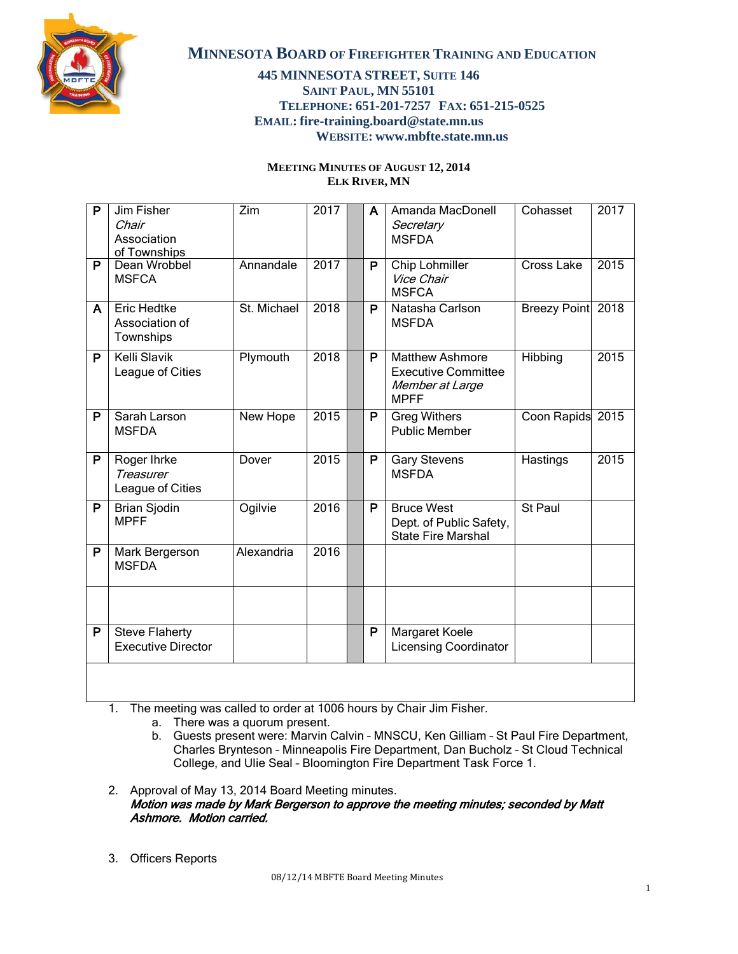

### **445 MINNESOTA STREET, SUITE 146 SAINT PAUL, MN 55101 TELEPHONE: 651-201-7257 FAX: 651-215-0525 EMAIL: fire-training.board@state.mn.us WEBSITE: www.mbfte.state.mn.us**

#### **MEETING MINUTES OF AUGUST 12, 2014 ELK RIVER, MN**

| P | Jim Fisher<br>Chair<br>Association<br>of Townships  | Zim         | 2017 | A | Amanda MacDonell<br>Secretary<br><b>MSFDA</b>                                          | Cohasset            | 2017 |
|---|-----------------------------------------------------|-------------|------|---|----------------------------------------------------------------------------------------|---------------------|------|
| P | Dean Wrobbel<br><b>MSFCA</b>                        | Annandale   | 2017 | P | Chip Lohmiller<br>Vice Chair<br><b>MSFCA</b>                                           | Cross Lake          | 2015 |
| A | <b>Eric Hedtke</b><br>Association of<br>Townships   | St. Michael | 2018 | P | Natasha Carlson<br><b>MSFDA</b>                                                        | <b>Breezy Point</b> | 2018 |
| P | Kelli Slavik<br>League of Cities                    | Plymouth    | 2018 | P | <b>Matthew Ashmore</b><br><b>Executive Committee</b><br>Member at Large<br><b>MPFF</b> | Hibbing             | 2015 |
| P | Sarah Larson<br><b>MSFDA</b>                        | New Hope    | 2015 | P | <b>Greg Withers</b><br><b>Public Member</b>                                            | Coon Rapids         | 2015 |
| P | Roger Ihrke<br><b>Treasurer</b><br>League of Cities | Dover       | 2015 | P | <b>Gary Stevens</b><br><b>MSFDA</b>                                                    | Hastings            | 2015 |
| P | <b>Brian Sjodin</b><br><b>MPFF</b>                  | Ogilvie     | 2016 | P | <b>Bruce West</b><br>Dept. of Public Safety,<br><b>State Fire Marshal</b>              | St Paul             |      |
| P | Mark Bergerson<br><b>MSFDA</b>                      | Alexandria  | 2016 |   |                                                                                        |                     |      |
|   |                                                     |             |      |   |                                                                                        |                     |      |
| P | <b>Steve Flaherty</b><br><b>Executive Director</b>  |             |      | P | Margaret Koele<br><b>Licensing Coordinator</b>                                         |                     |      |
|   |                                                     |             |      |   |                                                                                        |                     |      |

1. The meeting was called to order at 1006 hours by Chair Jim Fisher.

- a. There was a quorum present.
- b. Guests present were: Marvin Calvin MNSCU, Ken Gilliam St Paul Fire Department, Charles Brynteson – Minneapolis Fire Department, Dan Bucholz – St Cloud Technical College, and Ulie Seal – Bloomington Fire Department Task Force 1.
- 2. Approval of May 13, 2014 Board Meeting minutes. Motion was made by Mark Bergerson to approve the meeting minutes; seconded by Matt Ashmore. Motion carried.
- 3. Officers Reports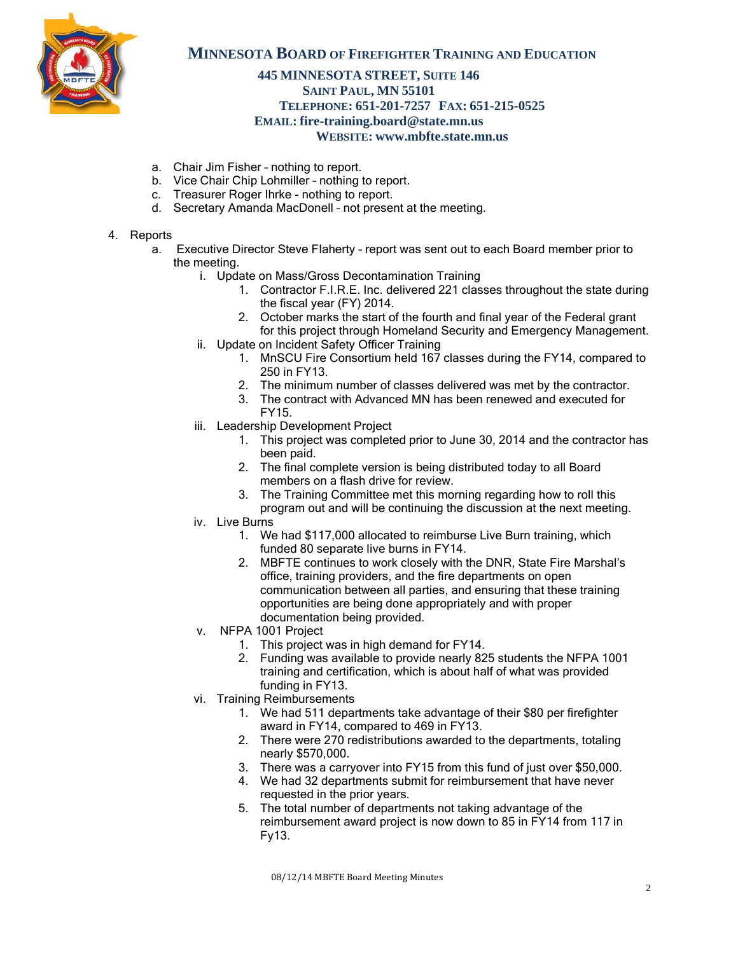

### **445 MINNESOTA STREET, SUITE 146 SAINT PAUL, MN 55101 TELEPHONE: 651-201-7257 FAX: 651-215-0525 EMAIL: fire-training.board@state.mn.us WEBSITE: www.mbfte.state.mn.us**

- a. Chair Jim Fisher nothing to report.
- b. Vice Chair Chip Lohmiller nothing to report.
- c. Treasurer Roger Ihrke nothing to report.
- d. Secretary Amanda MacDonell not present at the meeting.

#### 4. Reports

- a. Executive Director Steve Flaherty report was sent out to each Board member prior to the meeting.
	- i. Update on Mass/Gross Decontamination Training
		- 1. Contractor F.I.R.E. Inc. delivered 221 classes throughout the state during the fiscal year (FY) 2014.
		- 2. October marks the start of the fourth and final year of the Federal grant for this project through Homeland Security and Emergency Management.
	- ii. Update on Incident Safety Officer Training
		- 1. MnSCU Fire Consortium held 167 classes during the FY14, compared to 250 in FY13.
		- 2. The minimum number of classes delivered was met by the contractor.
		- 3. The contract with Advanced MN has been renewed and executed for FY15.
	- iii. Leadership Development Project
		- 1. This project was completed prior to June 30, 2014 and the contractor has been paid.
		- 2. The final complete version is being distributed today to all Board members on a flash drive for review.
		- 3. The Training Committee met this morning regarding how to roll this program out and will be continuing the discussion at the next meeting.
	- iv. Live Burns
		- 1. We had \$117,000 allocated to reimburse Live Burn training, which funded 80 separate live burns in FY14.
		- 2. MBFTE continues to work closely with the DNR, State Fire Marshal's office, training providers, and the fire departments on open communication between all parties, and ensuring that these training opportunities are being done appropriately and with proper documentation being provided.
	- v. NFPA 1001 Project
		- 1. This project was in high demand for FY14.
		- 2. Funding was available to provide nearly 825 students the NFPA 1001 training and certification, which is about half of what was provided funding in FY13.
	- vi. Training Reimbursements
		- 1. We had 511 departments take advantage of their \$80 per firefighter award in FY14, compared to 469 in FY13.
		- 2. There were 270 redistributions awarded to the departments, totaling nearly \$570,000.
		- 3. There was a carryover into FY15 from this fund of just over \$50,000.
		- 4. We had 32 departments submit for reimbursement that have never requested in the prior years.
		- 5. The total number of departments not taking advantage of the reimbursement award project is now down to 85 in FY14 from 117 in Fy13.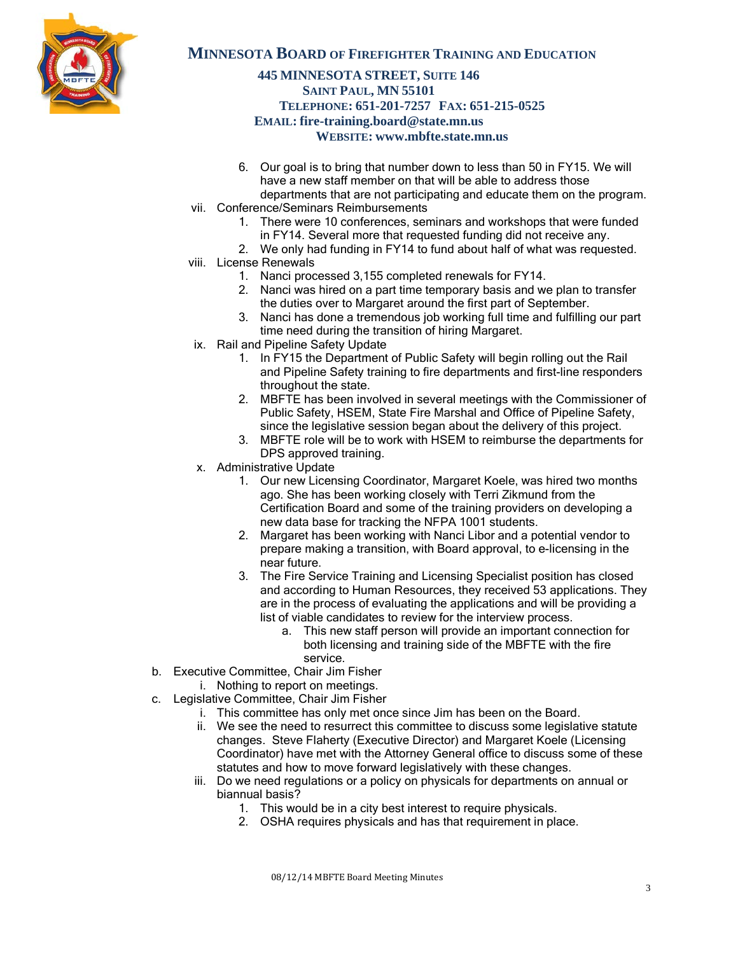

# **445 MINNESOTA STREET, SUITE 146 SAINT PAUL, MN 55101 TELEPHONE: 651-201-7257 FAX: 651-215-0525 EMAIL: fire-training.board@state.mn.us WEBSITE: www.mbfte.state.mn.us**

- 6. Our goal is to bring that number down to less than 50 in FY15. We will have a new staff member on that will be able to address those departments that are not participating and educate them on the program.
- vii. Conference/Seminars Reimbursements
	- 1. There were 10 conferences, seminars and workshops that were funded in FY14. Several more that requested funding did not receive any.
	- 2. We only had funding in FY14 to fund about half of what was requested.
- viii. License Renewals
	- 1. Nanci processed 3,155 completed renewals for FY14.
	- 2. Nanci was hired on a part time temporary basis and we plan to transfer the duties over to Margaret around the first part of September.
	- 3. Nanci has done a tremendous job working full time and fulfilling our part time need during the transition of hiring Margaret.
- ix. Rail and Pipeline Safety Update
	- 1. In FY15 the Department of Public Safety will begin rolling out the Rail and Pipeline Safety training to fire departments and first-line responders throughout the state.
	- 2. MBFTE has been involved in several meetings with the Commissioner of Public Safety, HSEM, State Fire Marshal and Office of Pipeline Safety, since the legislative session began about the delivery of this project.
	- 3. MBFTE role will be to work with HSEM to reimburse the departments for DPS approved training.
- x. Administrative Update
	- 1. Our new Licensing Coordinator, Margaret Koele, was hired two months ago. She has been working closely with Terri Zikmund from the Certification Board and some of the training providers on developing a new data base for tracking the NFPA 1001 students.
	- 2. Margaret has been working with Nanci Libor and a potential vendor to prepare making a transition, with Board approval, to e-licensing in the near future.
	- 3. The Fire Service Training and Licensing Specialist position has closed and according to Human Resources, they received 53 applications. They are in the process of evaluating the applications and will be providing a list of viable candidates to review for the interview process.
		- a. This new staff person will provide an important connection for both licensing and training side of the MBFTE with the fire service.
- b. Executive Committee, Chair Jim Fisher
	- i. Nothing to report on meetings.
- c. Legislative Committee, Chair Jim Fisher
	- i. This committee has only met once since Jim has been on the Board.
	- ii. We see the need to resurrect this committee to discuss some legislative statute changes. Steve Flaherty (Executive Director) and Margaret Koele (Licensing Coordinator) have met with the Attorney General office to discuss some of these statutes and how to move forward legislatively with these changes.
	- iii. Do we need regulations or a policy on physicals for departments on annual or biannual basis?
		- 1. This would be in a city best interest to require physicals.
		- 2. OSHA requires physicals and has that requirement in place.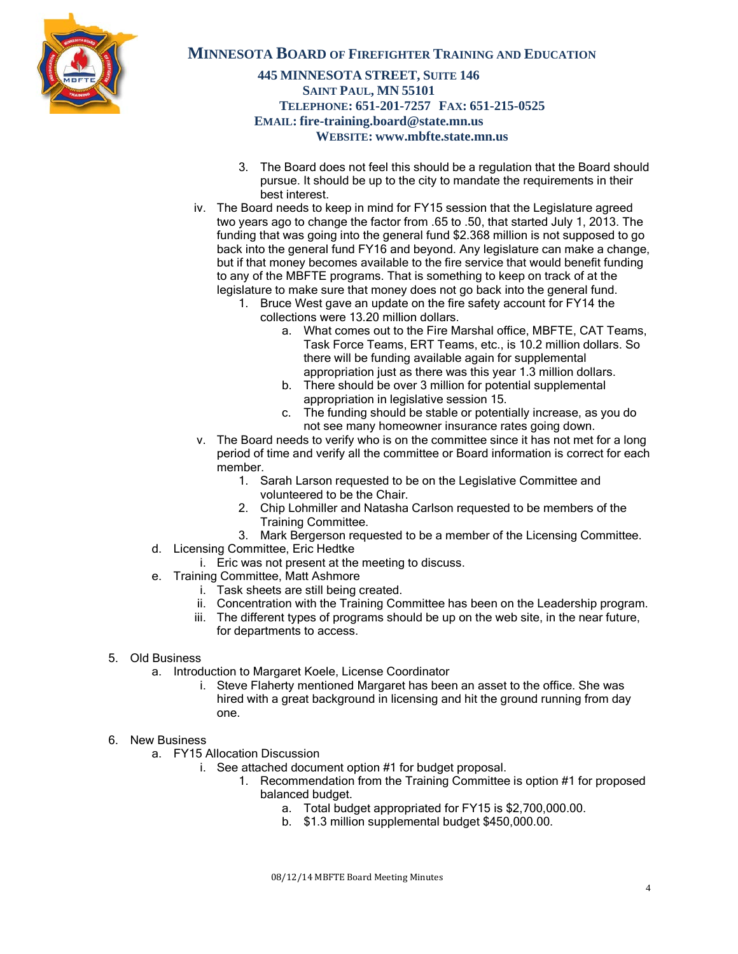

# **445 MINNESOTA STREET, SUITE 146 SAINT PAUL, MN 55101 TELEPHONE: 651-201-7257 FAX: 651-215-0525 EMAIL: fire-training.board@state.mn.us WEBSITE: www.mbfte.state.mn.us**

- 3. The Board does not feel this should be a regulation that the Board should pursue. It should be up to the city to mandate the requirements in their best interest.
- iv. The Board needs to keep in mind for FY15 session that the Legislature agreed two years ago to change the factor from .65 to .50, that started July 1, 2013. The funding that was going into the general fund \$2.368 million is not supposed to go back into the general fund FY16 and beyond. Any legislature can make a change, but if that money becomes available to the fire service that would benefit funding to any of the MBFTE programs. That is something to keep on track of at the legislature to make sure that money does not go back into the general fund.
	- 1. Bruce West gave an update on the fire safety account for FY14 the collections were 13.20 million dollars.
		- a. What comes out to the Fire Marshal office, MBFTE, CAT Teams, Task Force Teams, ERT Teams, etc., is 10.2 million dollars. So there will be funding available again for supplemental appropriation just as there was this year 1.3 million dollars.
		- b. There should be over 3 million for potential supplemental appropriation in legislative session 15.
		- c. The funding should be stable or potentially increase, as you do not see many homeowner insurance rates going down.
- v. The Board needs to verify who is on the committee since it has not met for a long period of time and verify all the committee or Board information is correct for each member.
	- 1. Sarah Larson requested to be on the Legislative Committee and volunteered to be the Chair.
	- 2. Chip Lohmiller and Natasha Carlson requested to be members of the Training Committee.
	- 3. Mark Bergerson requested to be a member of the Licensing Committee.
- d. Licensing Committee, Eric Hedtke
	- i. Eric was not present at the meeting to discuss.
- e. Training Committee, Matt Ashmore
	- i. Task sheets are still being created.
	- ii. Concentration with the Training Committee has been on the Leadership program.
	- iii. The different types of programs should be up on the web site, in the near future, for departments to access.

#### 5. Old Business

- a. Introduction to Margaret Koele, License Coordinator
	- i. Steve Flaherty mentioned Margaret has been an asset to the office. She was hired with a great background in licensing and hit the ground running from day one.
- 6. New Business
	- a. FY15 Allocation Discussion
		- i. See attached document option #1 for budget proposal.
			- 1. Recommendation from the Training Committee is option #1 for proposed balanced budget.
				- a. Total budget appropriated for FY15 is \$2,700,000.00.
				- b. \$1.3 million supplemental budget \$450,000.00.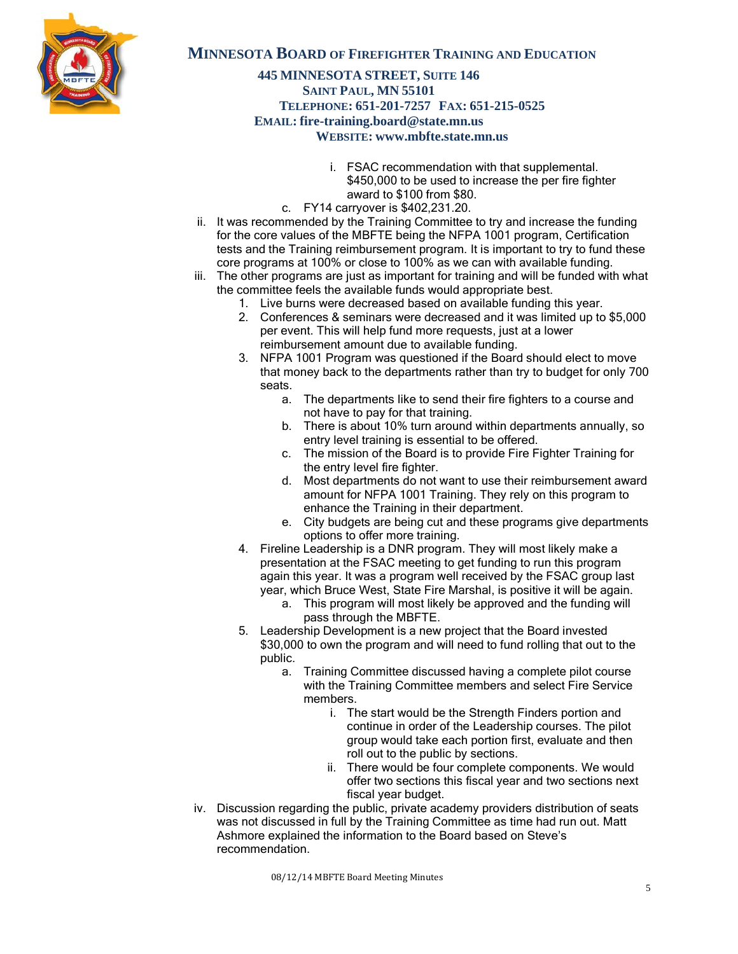

### **445 MINNESOTA STREET, SUITE 146 SAINT PAUL, MN 55101 TELEPHONE: 651-201-7257 FAX: 651-215-0525 EMAIL: fire-training.board@state.mn.us WEBSITE: www.mbfte.state.mn.us**

- i. FSAC recommendation with that supplemental. \$450,000 to be used to increase the per fire fighter award to \$100 from \$80.
- c. FY14 carryover is \$402,231.20.
- ii. It was recommended by the Training Committee to try and increase the funding for the core values of the MBFTE being the NFPA 1001 program, Certification tests and the Training reimbursement program. It is important to try to fund these core programs at 100% or close to 100% as we can with available funding.
- iii. The other programs are just as important for training and will be funded with what the committee feels the available funds would appropriate best.
	- 1. Live burns were decreased based on available funding this year.
	- 2. Conferences & seminars were decreased and it was limited up to \$5,000 per event. This will help fund more requests, just at a lower reimbursement amount due to available funding.
	- 3. NFPA 1001 Program was questioned if the Board should elect to move that money back to the departments rather than try to budget for only 700 seats.
		- a. The departments like to send their fire fighters to a course and not have to pay for that training.
		- b. There is about 10% turn around within departments annually, so entry level training is essential to be offered.
		- c. The mission of the Board is to provide Fire Fighter Training for the entry level fire fighter.
		- d. Most departments do not want to use their reimbursement award amount for NFPA 1001 Training. They rely on this program to enhance the Training in their department.
		- e. City budgets are being cut and these programs give departments options to offer more training.
	- 4. Fireline Leadership is a DNR program. They will most likely make a presentation at the FSAC meeting to get funding to run this program again this year. It was a program well received by the FSAC group last year, which Bruce West, State Fire Marshal, is positive it will be again.
		- a. This program will most likely be approved and the funding will pass through the MBFTE.
	- 5. Leadership Development is a new project that the Board invested \$30,000 to own the program and will need to fund rolling that out to the public.
		- a. Training Committee discussed having a complete pilot course with the Training Committee members and select Fire Service members.
			- i. The start would be the Strength Finders portion and continue in order of the Leadership courses. The pilot group would take each portion first, evaluate and then roll out to the public by sections.
			- ii. There would be four complete components. We would offer two sections this fiscal year and two sections next fiscal year budget.
- iv. Discussion regarding the public, private academy providers distribution of seats was not discussed in full by the Training Committee as time had run out. Matt Ashmore explained the information to the Board based on Steve's recommendation.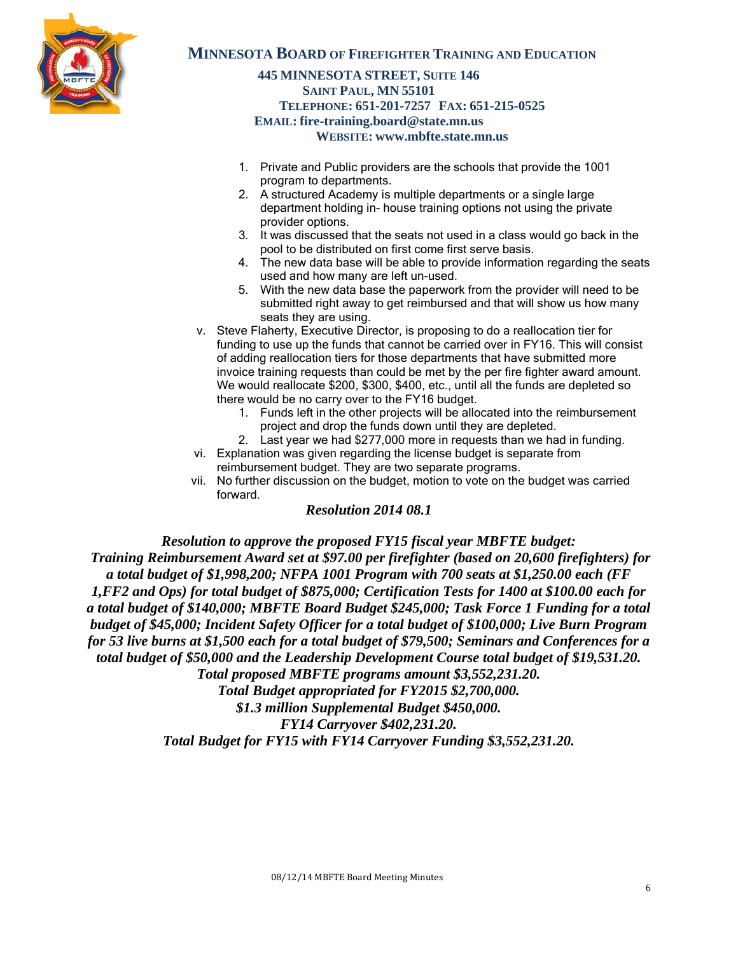

# **445 MINNESOTA STREET, SUITE 146 SAINT PAUL, MN 55101 TELEPHONE: 651-201-7257 FAX: 651-215-0525 EMAIL: fire-training.board@state.mn.us WEBSITE: www.mbfte.state.mn.us**

- 1. Private and Public providers are the schools that provide the 1001 program to departments.
- 2. A structured Academy is multiple departments or a single large department holding in- house training options not using the private provider options.
- 3. It was discussed that the seats not used in a class would go back in the pool to be distributed on first come first serve basis.
- 4. The new data base will be able to provide information regarding the seats used and how many are left un-used.
- 5. With the new data base the paperwork from the provider will need to be submitted right away to get reimbursed and that will show us how many seats they are using.
- v. Steve Flaherty, Executive Director, is proposing to do a reallocation tier for funding to use up the funds that cannot be carried over in FY16. This will consist of adding reallocation tiers for those departments that have submitted more invoice training requests than could be met by the per fire fighter award amount. We would reallocate \$200, \$300, \$400, etc., until all the funds are depleted so there would be no carry over to the FY16 budget.
	- 1. Funds left in the other projects will be allocated into the reimbursement project and drop the funds down until they are depleted.
	- 2. Last year we had \$277,000 more in requests than we had in funding.
- vi. Explanation was given regarding the license budget is separate from reimbursement budget. They are two separate programs.
- vii. No further discussion on the budget, motion to vote on the budget was carried forward.

## *Resolution 2014 08.1*

*Resolution to approve the proposed FY15 fiscal year MBFTE budget: Training Reimbursement Award set at \$97.00 per firefighter (based on 20,600 firefighters) for a total budget of \$1,998,200; NFPA 1001 Program with 700 seats at \$1,250.00 each (FF 1,FF2 and Ops) for total budget of \$875,000; Certification Tests for 1400 at \$100.00 each for a total budget of \$140,000; MBFTE Board Budget \$245,000; Task Force 1 Funding for a total budget of \$45,000; Incident Safety Officer for a total budget of \$100,000; Live Burn Program for 53 live burns at \$1,500 each for a total budget of \$79,500; Seminars and Conferences for a total budget of \$50,000 and the Leadership Development Course total budget of \$19,531.20. Total proposed MBFTE programs amount \$3,552,231.20.* 

*Total Budget appropriated for FY2015 \$2,700,000.*

*\$1.3 million Supplemental Budget \$450,000.*

*FY14 Carryover \$402,231.20.*

*Total Budget for FY15 with FY14 Carryover Funding \$3,552,231.20.*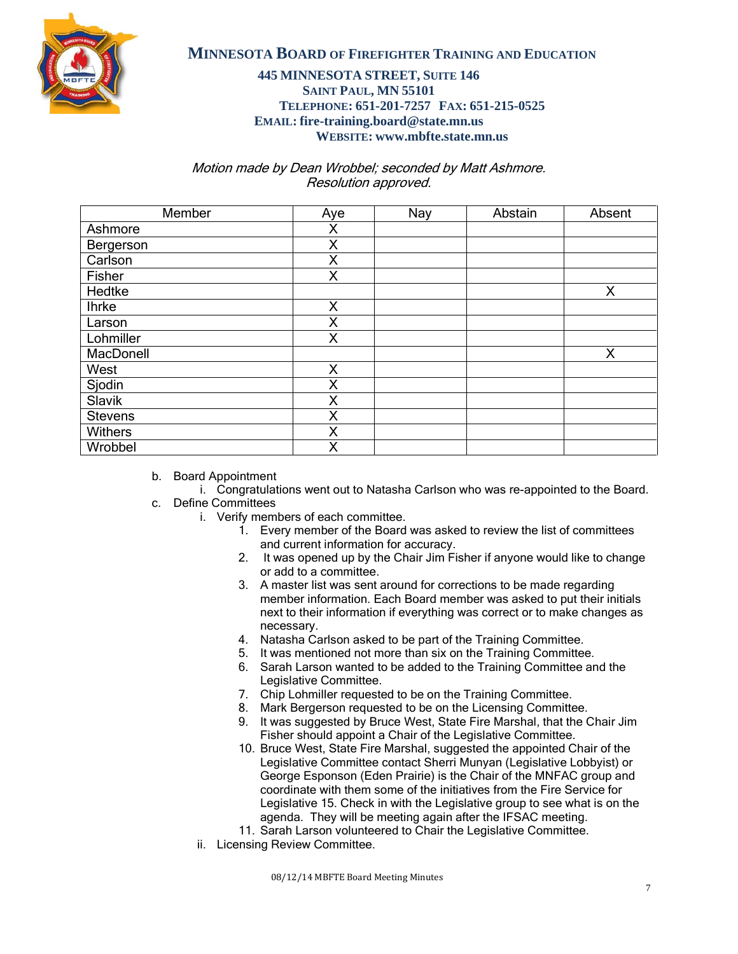

## **445 MINNESOTA STREET, SUITE 146 SAINT PAUL, MN 55101 TELEPHONE: 651-201-7257 FAX: 651-215-0525 EMAIL: fire-training.board@state.mn.us WEBSITE: www.mbfte.state.mn.us**

Motion made by Dean Wrobbel; seconded by Matt Ashmore. Resolution approved.

| Member         | Aye | Nay | Abstain | Absent |
|----------------|-----|-----|---------|--------|
| Ashmore        | Χ   |     |         |        |
| Bergerson      | X   |     |         |        |
| Carlson        | X   |     |         |        |
| Fisher         | X   |     |         |        |
| Hedtke         |     |     |         | X      |
| <b>Ihrke</b>   | X   |     |         |        |
| Larson         | Χ   |     |         |        |
| Lohmiller      | X   |     |         |        |
| MacDonell      |     |     |         | X      |
| West           | X   |     |         |        |
| Sjodin         | X   |     |         |        |
| Slavik         | X   |     |         |        |
| <b>Stevens</b> | X   |     |         |        |
| <b>Withers</b> | X   |     |         |        |
| Wrobbel        | X   |     |         |        |

- b. Board Appointment
	- i. Congratulations went out to Natasha Carlson who was re-appointed to the Board.
- c. Define Committees
	- i. Verify members of each committee.
		- 1. Every member of the Board was asked to review the list of committees and current information for accuracy.
		- 2. It was opened up by the Chair Jim Fisher if anyone would like to change or add to a committee.
		- 3. A master list was sent around for corrections to be made regarding member information. Each Board member was asked to put their initials next to their information if everything was correct or to make changes as necessary.
		- 4. Natasha Carlson asked to be part of the Training Committee.
		- 5. It was mentioned not more than six on the Training Committee.
		- 6. Sarah Larson wanted to be added to the Training Committee and the Legislative Committee.
		- 7. Chip Lohmiller requested to be on the Training Committee.
		- 8. Mark Bergerson requested to be on the Licensing Committee.
		- 9. It was suggested by Bruce West, State Fire Marshal, that the Chair Jim Fisher should appoint a Chair of the Legislative Committee.
		- 10. Bruce West, State Fire Marshal, suggested the appointed Chair of the Legislative Committee contact Sherri Munyan (Legislative Lobbyist) or George Esponson (Eden Prairie) is the Chair of the MNFAC group and coordinate with them some of the initiatives from the Fire Service for Legislative 15. Check in with the Legislative group to see what is on the agenda. They will be meeting again after the IFSAC meeting.
		- 11. Sarah Larson volunteered to Chair the Legislative Committee.
	- ii. Licensing Review Committee.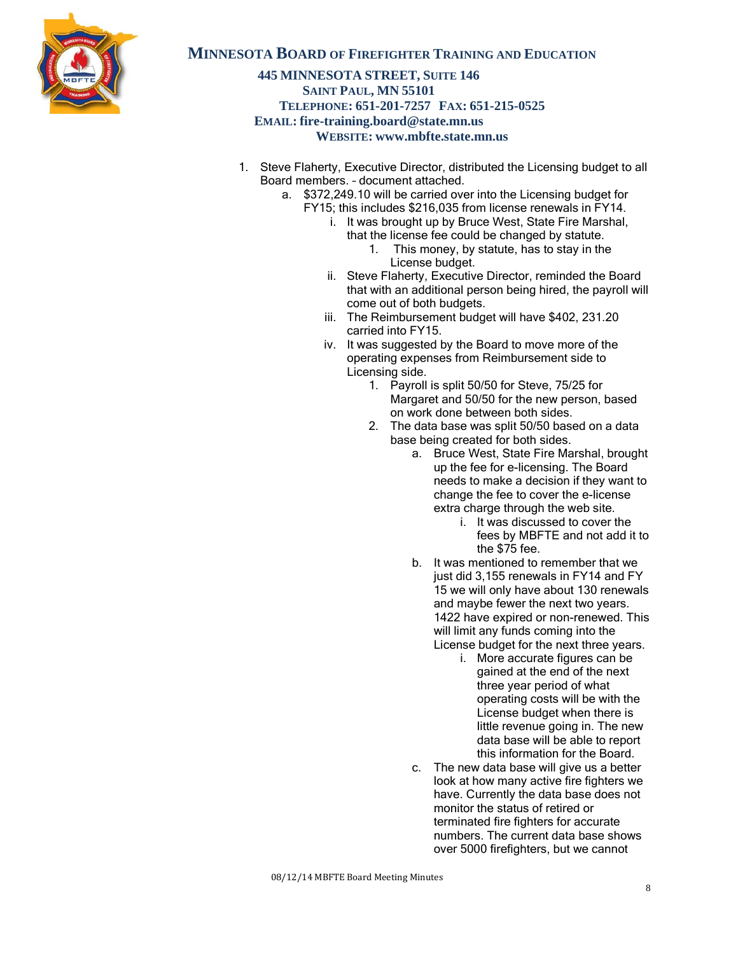

### **445 MINNESOTA STREET, SUITE 146 SAINT PAUL, MN 55101 TELEPHONE: 651-201-7257 FAX: 651-215-0525 EMAIL: fire-training.board@state.mn.us WEBSITE: www.mbfte.state.mn.us**

- 1. Steve Flaherty, Executive Director, distributed the Licensing budget to all Board members. – document attached.
	- a. \$372,249.10 will be carried over into the Licensing budget for
		- FY15; this includes \$216,035 from license renewals in FY14.
			- i. It was brought up by Bruce West, State Fire Marshal, that the license fee could be changed by statute.
				- 1. This money, by statute, has to stay in the License budget.
			- ii. Steve Flaherty, Executive Director, reminded the Board that with an additional person being hired, the payroll will come out of both budgets.
			- iii. The Reimbursement budget will have \$402, 231.20 carried into FY15.
			- iv. It was suggested by the Board to move more of the operating expenses from Reimbursement side to Licensing side.
				- 1. Payroll is split 50/50 for Steve, 75/25 for Margaret and 50/50 for the new person, based on work done between both sides.
				- 2. The data base was split 50/50 based on a data base being created for both sides.
					- a. Bruce West, State Fire Marshal, brought up the fee for e-licensing. The Board needs to make a decision if they want to change the fee to cover the e-license extra charge through the web site.
						- i. It was discussed to cover the fees by MBFTE and not add it to the \$75 fee.
					- b. It was mentioned to remember that we just did 3,155 renewals in FY14 and FY 15 we will only have about 130 renewals and maybe fewer the next two years. 1422 have expired or non-renewed. This will limit any funds coming into the License budget for the next three years.
						- i. More accurate figures can be gained at the end of the next three year period of what operating costs will be with the License budget when there is little revenue going in. The new data base will be able to report this information for the Board.
					- c. The new data base will give us a better look at how many active fire fighters we have. Currently the data base does not monitor the status of retired or terminated fire fighters for accurate numbers. The current data base shows over 5000 firefighters, but we cannot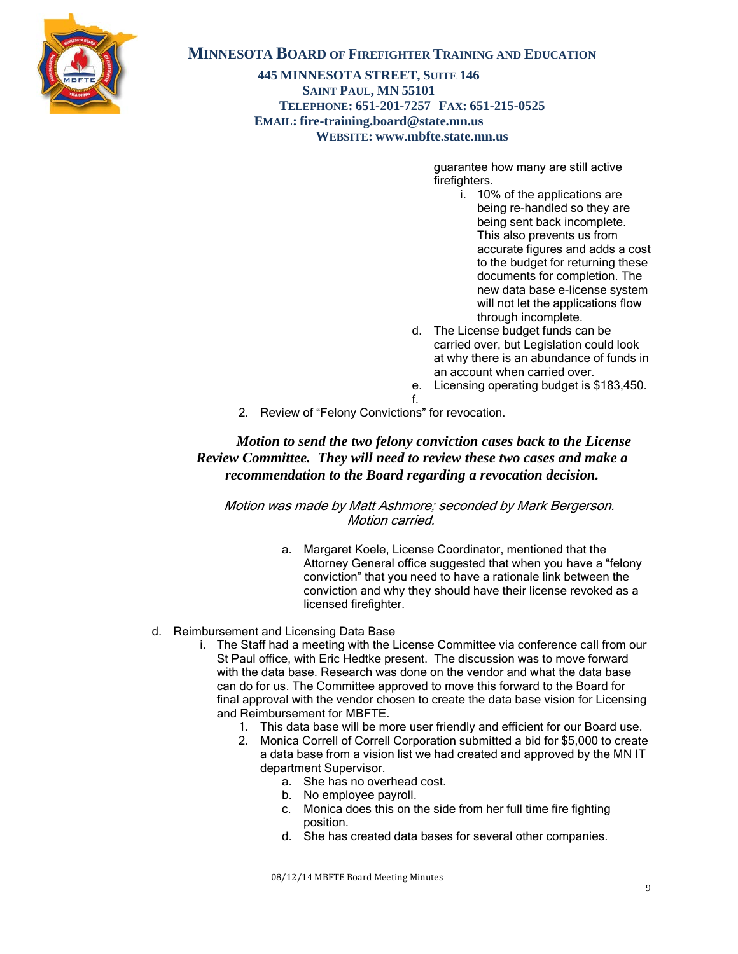

**445 MINNESOTA STREET, SUITE 146 SAINT PAUL, MN 55101 TELEPHONE: 651-201-7257 FAX: 651-215-0525 EMAIL: fire-training.board@state.mn.us WEBSITE: www.mbfte.state.mn.us**

> guarantee how many are still active firefighters.

- i. 10% of the applications are being re-handled so they are being sent back incomplete. This also prevents us from accurate figures and adds a cost to the budget for returning these documents for completion. The new data base e-license system will not let the applications flow through incomplete.
- d. The License budget funds can be carried over, but Legislation could look at why there is an abundance of funds in an account when carried over.
- e. Licensing operating budget is \$183,450.
- 2. Review of "Felony Convictions" for revocation.

# *Motion to send the two felony conviction cases back to the License Review Committee. They will need to review these two cases and make a recommendation to the Board regarding a revocation decision.*

f.

 Motion was made by Matt Ashmore; seconded by Mark Bergerson. Motion carried.

> a. Margaret Koele, License Coordinator, mentioned that the Attorney General office suggested that when you have a "felony conviction" that you need to have a rationale link between the conviction and why they should have their license revoked as a licensed firefighter.

#### d. Reimbursement and Licensing Data Base

- i. The Staff had a meeting with the License Committee via conference call from our St Paul office, with Eric Hedtke present. The discussion was to move forward with the data base. Research was done on the vendor and what the data base can do for us. The Committee approved to move this forward to the Board for final approval with the vendor chosen to create the data base vision for Licensing and Reimbursement for MBFTE.
	- 1. This data base will be more user friendly and efficient for our Board use.
	- 2. Monica Correll of Correll Corporation submitted a bid for \$5,000 to create a data base from a vision list we had created and approved by the MN IT department Supervisor.
		- a. She has no overhead cost.
		- b. No employee payroll.
		- c. Monica does this on the side from her full time fire fighting position.
		- d. She has created data bases for several other companies.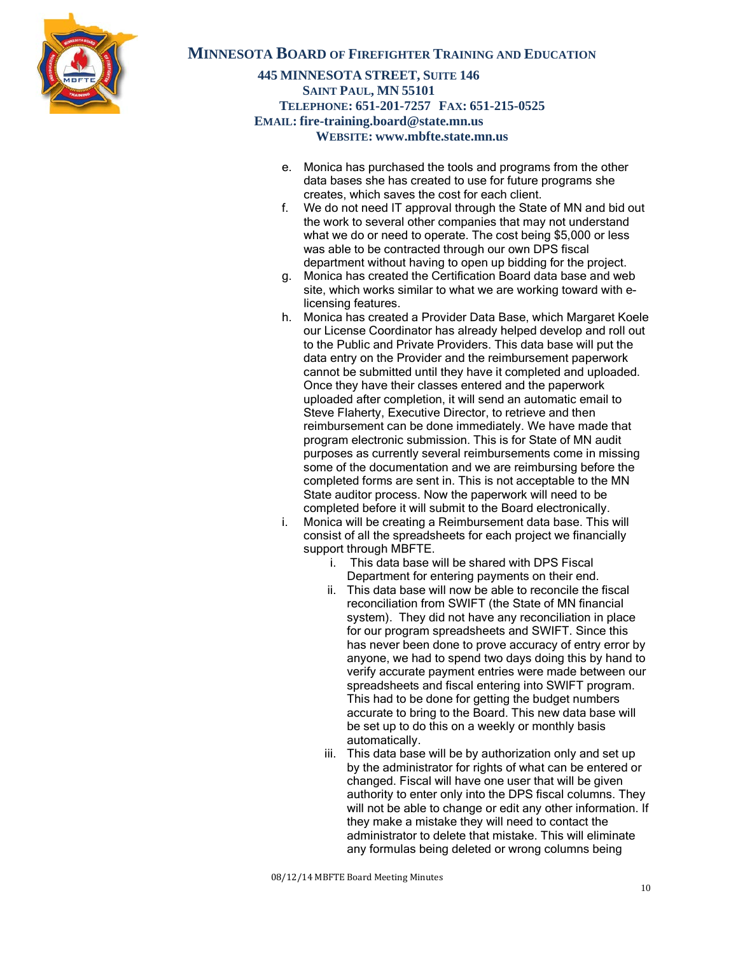

### **445 MINNESOTA STREET, SUITE 146 SAINT PAUL, MN 55101 TELEPHONE: 651-201-7257 FAX: 651-215-0525 EMAIL: fire-training.board@state.mn.us WEBSITE: www.mbfte.state.mn.us**

- e. Monica has purchased the tools and programs from the other data bases she has created to use for future programs she creates, which saves the cost for each client.
- f. We do not need IT approval through the State of MN and bid out the work to several other companies that may not understand what we do or need to operate. The cost being \$5,000 or less was able to be contracted through our own DPS fiscal department without having to open up bidding for the project.
- g. Monica has created the Certification Board data base and web site, which works similar to what we are working toward with elicensing features.
- h. Monica has created a Provider Data Base, which Margaret Koele our License Coordinator has already helped develop and roll out to the Public and Private Providers. This data base will put the data entry on the Provider and the reimbursement paperwork cannot be submitted until they have it completed and uploaded. Once they have their classes entered and the paperwork uploaded after completion, it will send an automatic email to Steve Flaherty, Executive Director, to retrieve and then reimbursement can be done immediately. We have made that program electronic submission. This is for State of MN audit purposes as currently several reimbursements come in missing some of the documentation and we are reimbursing before the completed forms are sent in. This is not acceptable to the MN State auditor process. Now the paperwork will need to be completed before it will submit to the Board electronically.
- i. Monica will be creating a Reimbursement data base. This will consist of all the spreadsheets for each project we financially support through MBFTE.
	- i. This data base will be shared with DPS Fiscal Department for entering payments on their end.
	- ii. This data base will now be able to reconcile the fiscal reconciliation from SWIFT (the State of MN financial system). They did not have any reconciliation in place for our program spreadsheets and SWIFT. Since this has never been done to prove accuracy of entry error by anyone, we had to spend two days doing this by hand to verify accurate payment entries were made between our spreadsheets and fiscal entering into SWIFT program. This had to be done for getting the budget numbers accurate to bring to the Board. This new data base will be set up to do this on a weekly or monthly basis automatically.
	- iii. This data base will be by authorization only and set up by the administrator for rights of what can be entered or changed. Fiscal will have one user that will be given authority to enter only into the DPS fiscal columns. They will not be able to change or edit any other information. If they make a mistake they will need to contact the administrator to delete that mistake. This will eliminate any formulas being deleted or wrong columns being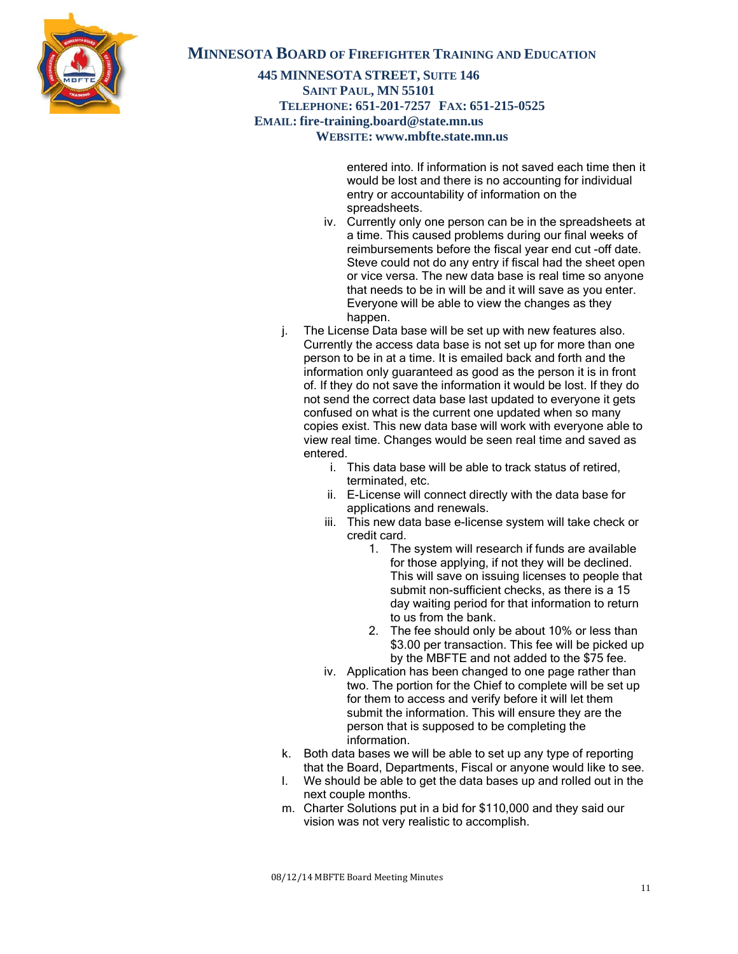

### **445 MINNESOTA STREET, SUITE 146 SAINT PAUL, MN 55101 TELEPHONE: 651-201-7257 FAX: 651-215-0525 EMAIL: fire-training.board@state.mn.us WEBSITE: www.mbfte.state.mn.us**

entered into. If information is not saved each time then it would be lost and there is no accounting for individual entry or accountability of information on the spreadsheets.

- iv. Currently only one person can be in the spreadsheets at a time. This caused problems during our final weeks of reimbursements before the fiscal year end cut -off date. Steve could not do any entry if fiscal had the sheet open or vice versa. The new data base is real time so anyone that needs to be in will be and it will save as you enter. Everyone will be able to view the changes as they happen.
- j. The License Data base will be set up with new features also. Currently the access data base is not set up for more than one person to be in at a time. It is emailed back and forth and the information only guaranteed as good as the person it is in front of. If they do not save the information it would be lost. If they do not send the correct data base last updated to everyone it gets confused on what is the current one updated when so many copies exist. This new data base will work with everyone able to view real time. Changes would be seen real time and saved as entered.
	- i. This data base will be able to track status of retired, terminated, etc.
	- ii. E-License will connect directly with the data base for applications and renewals.
	- iii. This new data base e-license system will take check or credit card.
		- 1. The system will research if funds are available for those applying, if not they will be declined. This will save on issuing licenses to people that submit non-sufficient checks, as there is a 15 day waiting period for that information to return to us from the bank.
		- 2. The fee should only be about 10% or less than \$3.00 per transaction. This fee will be picked up by the MBFTE and not added to the \$75 fee.
	- iv. Application has been changed to one page rather than two. The portion for the Chief to complete will be set up for them to access and verify before it will let them submit the information. This will ensure they are the person that is supposed to be completing the information.
- k. Both data bases we will be able to set up any type of reporting that the Board, Departments, Fiscal or anyone would like to see.
- l. We should be able to get the data bases up and rolled out in the next couple months.
- m. Charter Solutions put in a bid for \$110,000 and they said our vision was not very realistic to accomplish.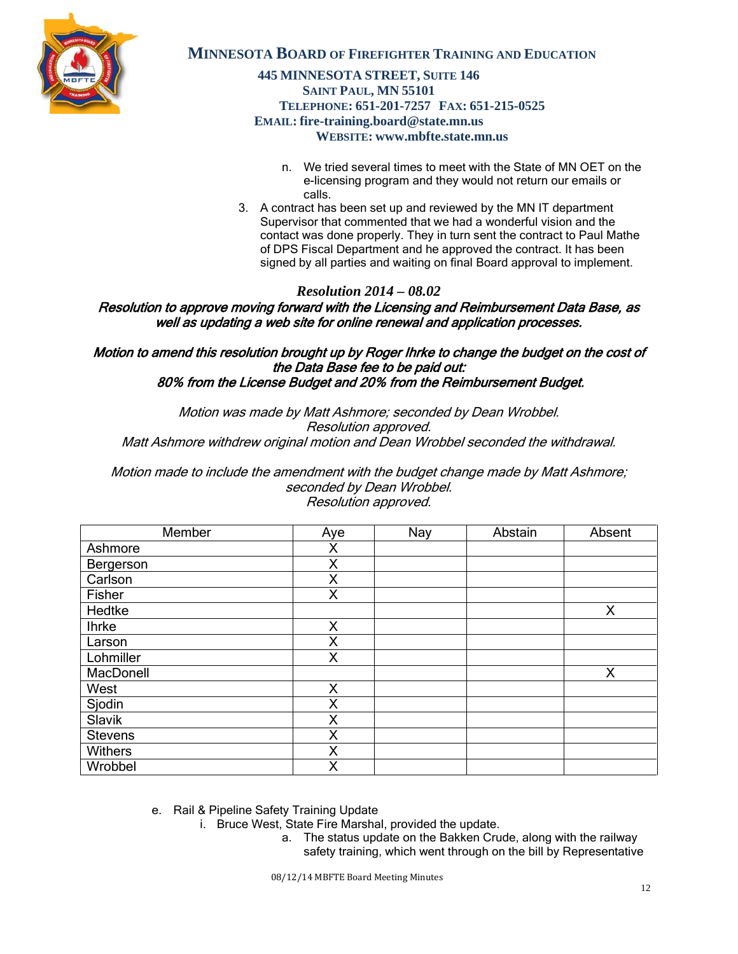

## **445 MINNESOTA STREET, SUITE 146 SAINT PAUL, MN 55101 TELEPHONE: 651-201-7257 FAX: 651-215-0525 EMAIL: fire-training.board@state.mn.us WEBSITE: www.mbfte.state.mn.us**

- n. We tried several times to meet with the State of MN OET on the e-licensing program and they would not return our emails or calls.
- 3. A contract has been set up and reviewed by the MN IT department Supervisor that commented that we had a wonderful vision and the contact was done properly. They in turn sent the contract to Paul Mathe of DPS Fiscal Department and he approved the contract. It has been signed by all parties and waiting on final Board approval to implement.

# *Resolution 2014 – 08.02*

Resolution to approve moving forward with the Licensing and Reimbursement Data Base, as well as updating a web site for online renewal and application processes.

Motion to amend this resolution brought up by Roger Ihrke to change the budget on the cost of the Data Base fee to be paid out: 80% from the License Budget and 20% from the Reimbursement Budget.

Motion was made by Matt Ashmore; seconded by Dean Wrobbel. Resolution approved. Matt Ashmore withdrew original motion and Dean Wrobbel seconded the withdrawal.

Motion made to include the amendment with the budget change made by Matt Ashmore; seconded by Dean Wrobbel. Resolution approved.

| Member         | Aye | Nay | Abstain | Absent |
|----------------|-----|-----|---------|--------|
| Ashmore        | Χ   |     |         |        |
| Bergerson      | X   |     |         |        |
| Carlson        | X   |     |         |        |
| Fisher         | X   |     |         |        |
| Hedtke         |     |     |         | X      |
| <b>Ihrke</b>   | X   |     |         |        |
| Larson         | Χ   |     |         |        |
| Lohmiller      | X   |     |         |        |
| MacDonell      |     |     |         | X      |
| West           | X   |     |         |        |
| Sjodin         | X   |     |         |        |
| Slavik         | Χ   |     |         |        |
| <b>Stevens</b> | X   |     |         |        |
| Withers        | X   |     |         |        |
| Wrobbel        | Χ   |     |         |        |

e. Rail & Pipeline Safety Training Update

- i. Bruce West, State Fire Marshal, provided the update.
	- a. The status update on the Bakken Crude, along with the railway safety training, which went through on the bill by Representative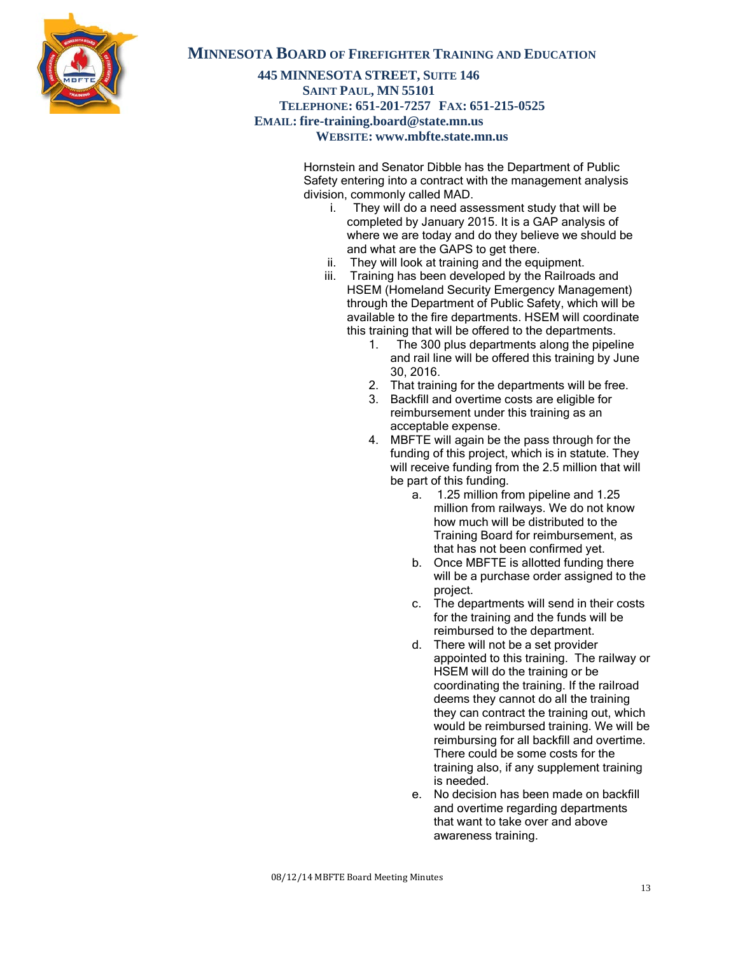

#### **445 MINNESOTA STREET, SUITE 146 SAINT PAUL, MN 55101 TELEPHONE: 651-201-7257 FAX: 651-215-0525 EMAIL: fire-training.board@state.mn.us WEBSITE: www.mbfte.state.mn.us**

Hornstein and Senator Dibble has the Department of Public Safety entering into a contract with the management analysis division, commonly called MAD.

- i. They will do a need assessment study that will be completed by January 2015. It is a GAP analysis of where we are today and do they believe we should be and what are the GAPS to get there.
- ii. They will look at training and the equipment.
- iii. Training has been developed by the Railroads and HSEM (Homeland Security Emergency Management) through the Department of Public Safety, which will be available to the fire departments. HSEM will coordinate this training that will be offered to the departments.
	- 1. The 300 plus departments along the pipeline and rail line will be offered this training by June 30, 2016.
	- 2. That training for the departments will be free.
	- 3. Backfill and overtime costs are eligible for reimbursement under this training as an acceptable expense.
	- 4. MBFTE will again be the pass through for the funding of this project, which is in statute. They will receive funding from the 2.5 million that will be part of this funding.
		- a. 1.25 million from pipeline and 1.25 million from railways. We do not know how much will be distributed to the Training Board for reimbursement, as that has not been confirmed yet.
		- b. Once MBFTE is allotted funding there will be a purchase order assigned to the project.
		- c. The departments will send in their costs for the training and the funds will be reimbursed to the department.
		- d. There will not be a set provider appointed to this training. The railway or HSEM will do the training or be coordinating the training. If the railroad deems they cannot do all the training they can contract the training out, which would be reimbursed training. We will be reimbursing for all backfill and overtime. There could be some costs for the training also, if any supplement training is needed.
		- e. No decision has been made on backfill and overtime regarding departments that want to take over and above awareness training.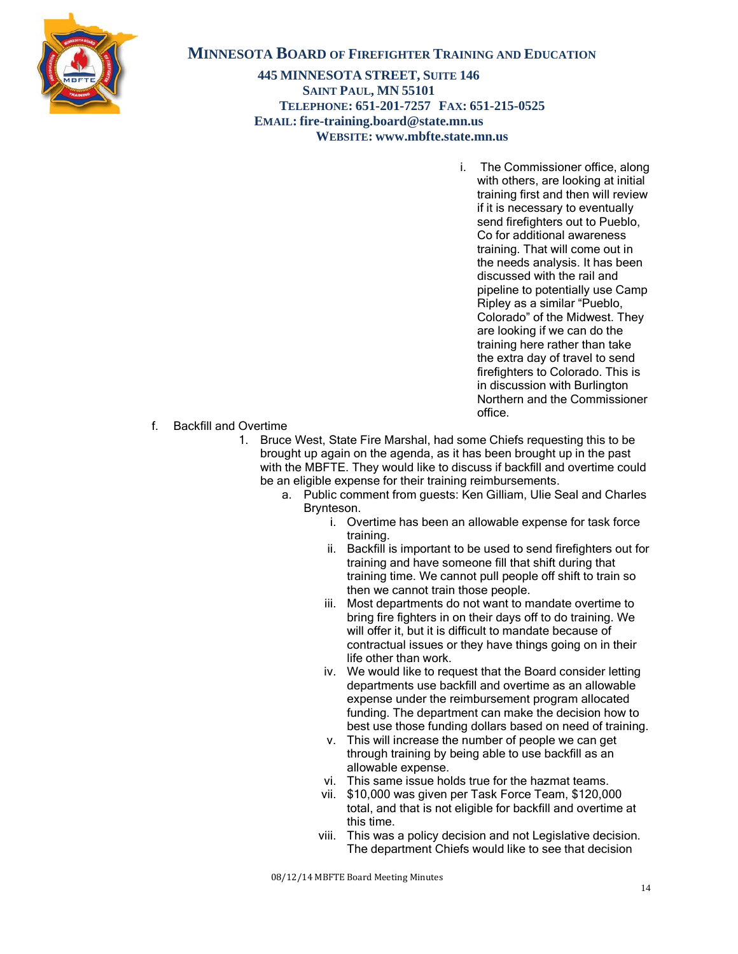

**445 MINNESOTA STREET, SUITE 146 SAINT PAUL, MN 55101 TELEPHONE: 651-201-7257 FAX: 651-215-0525 EMAIL: fire-training.board@state.mn.us WEBSITE: www.mbfte.state.mn.us**

> i. The Commissioner office, along with others, are looking at initial training first and then will review if it is necessary to eventually send firefighters out to Pueblo. Co for additional awareness training. That will come out in the needs analysis. It has been discussed with the rail and pipeline to potentially use Camp Ripley as a similar "Pueblo, Colorado" of the Midwest. They are looking if we can do the training here rather than take the extra day of travel to send firefighters to Colorado. This is in discussion with Burlington Northern and the Commissioner office.

f. Backfill and Overtime

- 1. Bruce West, State Fire Marshal, had some Chiefs requesting this to be brought up again on the agenda, as it has been brought up in the past with the MBFTE. They would like to discuss if backfill and overtime could be an eligible expense for their training reimbursements.
	- a. Public comment from guests: Ken Gilliam, Ulie Seal and Charles Brynteson.
		- i. Overtime has been an allowable expense for task force training.
		- ii. Backfill is important to be used to send firefighters out for training and have someone fill that shift during that training time. We cannot pull people off shift to train so then we cannot train those people.
		- iii. Most departments do not want to mandate overtime to bring fire fighters in on their days off to do training. We will offer it, but it is difficult to mandate because of contractual issues or they have things going on in their life other than work.
		- iv. We would like to request that the Board consider letting departments use backfill and overtime as an allowable expense under the reimbursement program allocated funding. The department can make the decision how to best use those funding dollars based on need of training.
		- v. This will increase the number of people we can get through training by being able to use backfill as an allowable expense.
		- vi. This same issue holds true for the hazmat teams.
		- vii. \$10,000 was given per Task Force Team, \$120,000 total, and that is not eligible for backfill and overtime at this time.
		- viii. This was a policy decision and not Legislative decision. The department Chiefs would like to see that decision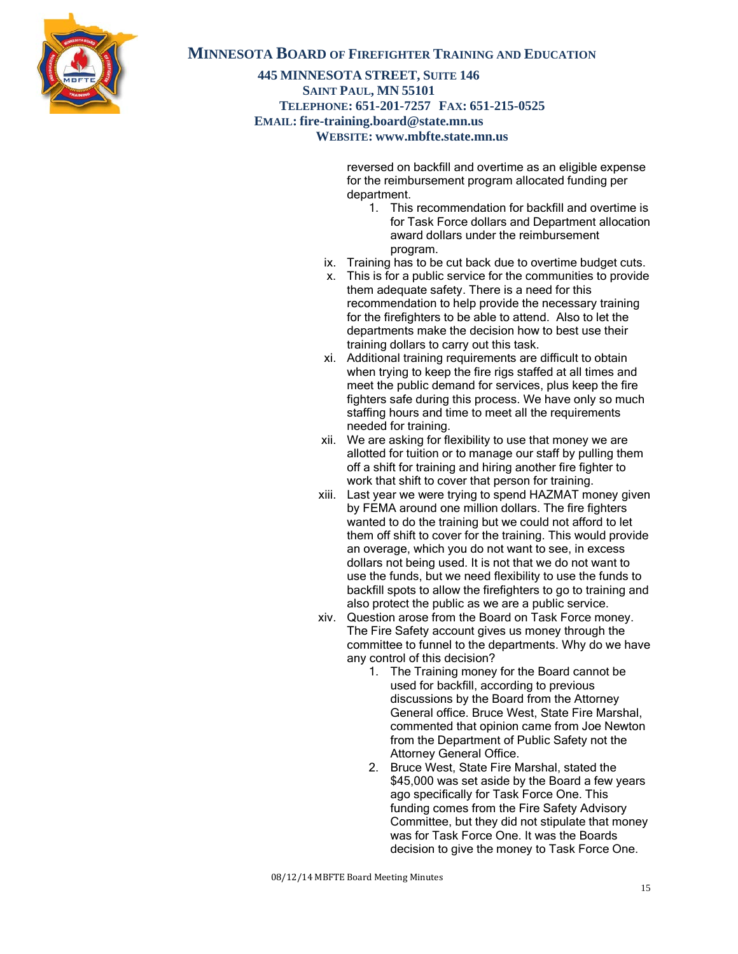

### **445 MINNESOTA STREET, SUITE 146 SAINT PAUL, MN 55101 TELEPHONE: 651-201-7257 FAX: 651-215-0525 EMAIL: fire-training.board@state.mn.us WEBSITE: www.mbfte.state.mn.us**

reversed on backfill and overtime as an eligible expense for the reimbursement program allocated funding per department.

- 1. This recommendation for backfill and overtime is for Task Force dollars and Department allocation award dollars under the reimbursement program.
- ix. Training has to be cut back due to overtime budget cuts.
- x. This is for a public service for the communities to provide them adequate safety. There is a need for this recommendation to help provide the necessary training for the firefighters to be able to attend. Also to let the departments make the decision how to best use their training dollars to carry out this task.
- xi. Additional training requirements are difficult to obtain when trying to keep the fire rigs staffed at all times and meet the public demand for services, plus keep the fire fighters safe during this process. We have only so much staffing hours and time to meet all the requirements needed for training.
- xii. We are asking for flexibility to use that money we are allotted for tuition or to manage our staff by pulling them off a shift for training and hiring another fire fighter to work that shift to cover that person for training.
- xiii. Last year we were trying to spend HAZMAT money given by FEMA around one million dollars. The fire fighters wanted to do the training but we could not afford to let them off shift to cover for the training. This would provide an overage, which you do not want to see, in excess dollars not being used. It is not that we do not want to use the funds, but we need flexibility to use the funds to backfill spots to allow the firefighters to go to training and also protect the public as we are a public service.
- xiv. Question arose from the Board on Task Force money. The Fire Safety account gives us money through the committee to funnel to the departments. Why do we have any control of this decision?
	- 1. The Training money for the Board cannot be used for backfill, according to previous discussions by the Board from the Attorney General office. Bruce West, State Fire Marshal, commented that opinion came from Joe Newton from the Department of Public Safety not the Attorney General Office.
	- 2. Bruce West, State Fire Marshal, stated the \$45,000 was set aside by the Board a few years ago specifically for Task Force One. This funding comes from the Fire Safety Advisory Committee, but they did not stipulate that money was for Task Force One. It was the Boards decision to give the money to Task Force One.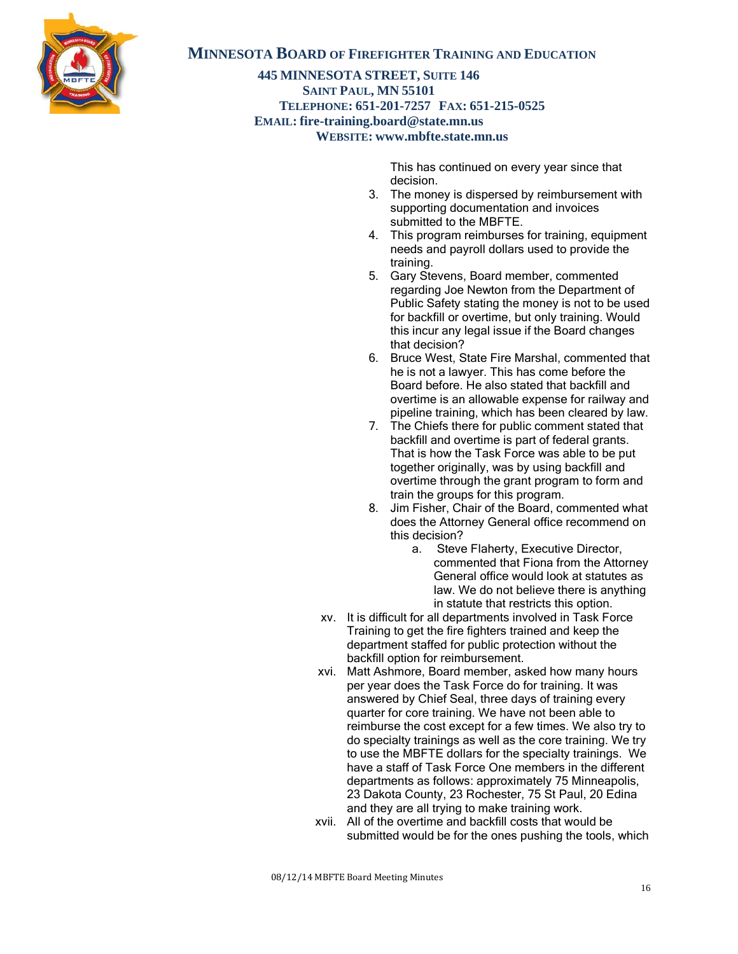

**445 MINNESOTA STREET, SUITE 146 SAINT PAUL, MN 55101 TELEPHONE: 651-201-7257 FAX: 651-215-0525 EMAIL: fire-training.board@state.mn.us WEBSITE: www.mbfte.state.mn.us**

> This has continued on every year since that decision.

- 3. The money is dispersed by reimbursement with supporting documentation and invoices submitted to the MBFTE.
- 4. This program reimburses for training, equipment needs and payroll dollars used to provide the training.
- 5. Gary Stevens, Board member, commented regarding Joe Newton from the Department of Public Safety stating the money is not to be used for backfill or overtime, but only training. Would this incur any legal issue if the Board changes that decision?
- 6. Bruce West, State Fire Marshal, commented that he is not a lawyer. This has come before the Board before. He also stated that backfill and overtime is an allowable expense for railway and pipeline training, which has been cleared by law.
- 7. The Chiefs there for public comment stated that backfill and overtime is part of federal grants. That is how the Task Force was able to be put together originally, was by using backfill and overtime through the grant program to form and train the groups for this program.
- 8. Jim Fisher, Chair of the Board, commented what does the Attorney General office recommend on this decision?
	- a. Steve Flaherty, Executive Director, commented that Fiona from the Attorney General office would look at statutes as law. We do not believe there is anything in statute that restricts this option.
- xv. It is difficult for all departments involved in Task Force Training to get the fire fighters trained and keep the department staffed for public protection without the backfill option for reimbursement.
- xvi. Matt Ashmore, Board member, asked how many hours per year does the Task Force do for training. It was answered by Chief Seal, three days of training every quarter for core training. We have not been able to reimburse the cost except for a few times. We also try to do specialty trainings as well as the core training. We try to use the MBFTE dollars for the specialty trainings. We have a staff of Task Force One members in the different departments as follows: approximately 75 Minneapolis, 23 Dakota County, 23 Rochester, 75 St Paul, 20 Edina and they are all trying to make training work.
- xvii. All of the overtime and backfill costs that would be submitted would be for the ones pushing the tools, which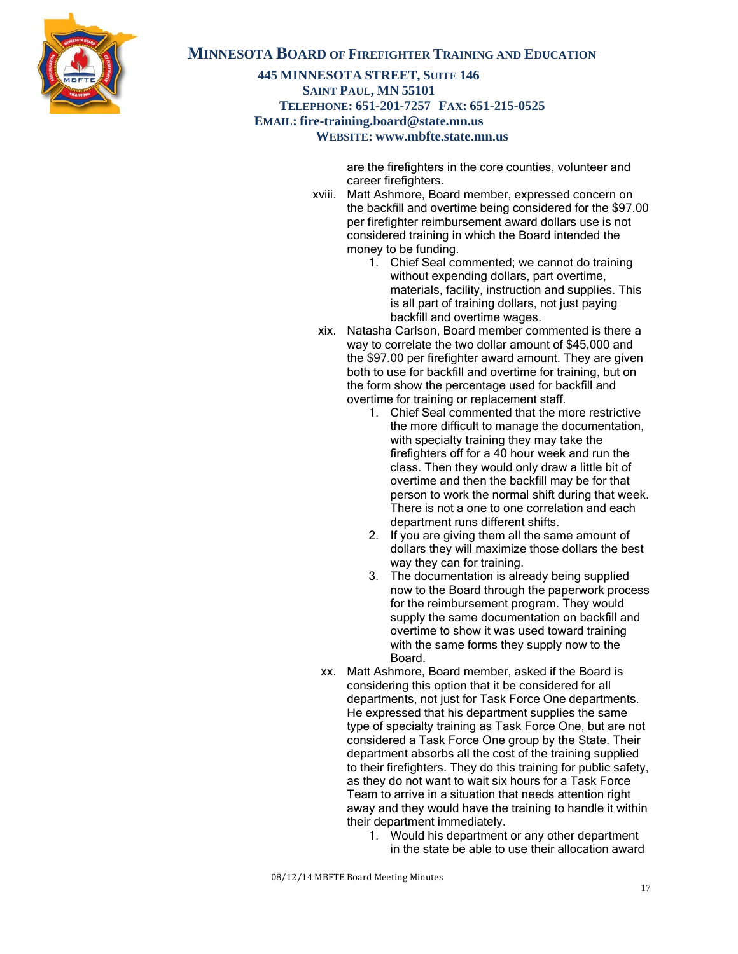

**445 MINNESOTA STREET, SUITE 146 SAINT PAUL, MN 55101 TELEPHONE: 651-201-7257 FAX: 651-215-0525 EMAIL: fire-training.board@state.mn.us WEBSITE: www.mbfte.state.mn.us**

> are the firefighters in the core counties, volunteer and career firefighters.

- xviii. Matt Ashmore, Board member, expressed concern on the backfill and overtime being considered for the \$97.00 per firefighter reimbursement award dollars use is not considered training in which the Board intended the money to be funding.
	- 1. Chief Seal commented; we cannot do training without expending dollars, part overtime, materials, facility, instruction and supplies. This is all part of training dollars, not just paying backfill and overtime wages.
- xix. Natasha Carlson, Board member commented is there a way to correlate the two dollar amount of \$45,000 and the \$97.00 per firefighter award amount. They are given both to use for backfill and overtime for training, but on the form show the percentage used for backfill and overtime for training or replacement staff.
	- 1. Chief Seal commented that the more restrictive the more difficult to manage the documentation, with specialty training they may take the firefighters off for a 40 hour week and run the class. Then they would only draw a little bit of overtime and then the backfill may be for that person to work the normal shift during that week. There is not a one to one correlation and each department runs different shifts.
	- 2. If you are giving them all the same amount of dollars they will maximize those dollars the best way they can for training.
	- 3. The documentation is already being supplied now to the Board through the paperwork process for the reimbursement program. They would supply the same documentation on backfill and overtime to show it was used toward training with the same forms they supply now to the Board.
- xx. Matt Ashmore, Board member, asked if the Board is considering this option that it be considered for all departments, not just for Task Force One departments. He expressed that his department supplies the same type of specialty training as Task Force One, but are not considered a Task Force One group by the State. Their department absorbs all the cost of the training supplied to their firefighters. They do this training for public safety, as they do not want to wait six hours for a Task Force Team to arrive in a situation that needs attention right away and they would have the training to handle it within their department immediately.
	- 1. Would his department or any other department in the state be able to use their allocation award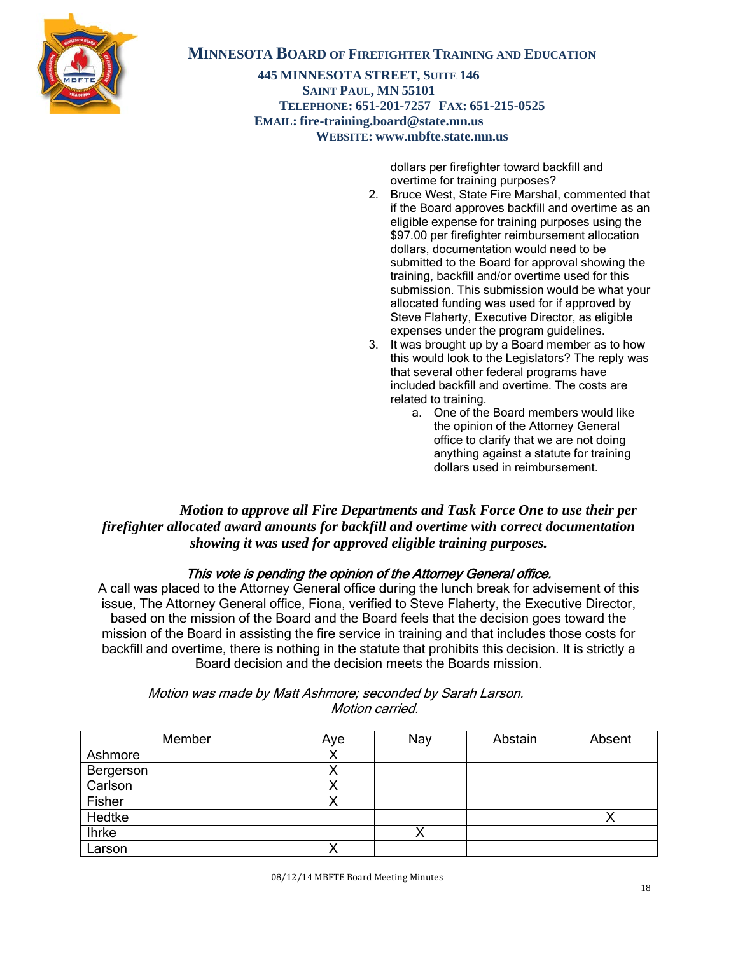

**445 MINNESOTA STREET, SUITE 146 SAINT PAUL, MN 55101 TELEPHONE: 651-201-7257 FAX: 651-215-0525 EMAIL: fire-training.board@state.mn.us WEBSITE: www.mbfte.state.mn.us**

> dollars per firefighter toward backfill and overtime for training purposes?

- 2. Bruce West, State Fire Marshal, commented that if the Board approves backfill and overtime as an eligible expense for training purposes using the \$97.00 per firefighter reimbursement allocation dollars, documentation would need to be submitted to the Board for approval showing the training, backfill and/or overtime used for this submission. This submission would be what your allocated funding was used for if approved by Steve Flaherty, Executive Director, as eligible expenses under the program guidelines.
- 3. It was brought up by a Board member as to how this would look to the Legislators? The reply was that several other federal programs have included backfill and overtime. The costs are related to training.
	- a. One of the Board members would like the opinion of the Attorney General office to clarify that we are not doing anything against a statute for training dollars used in reimbursement.

 *Motion to approve all Fire Departments and Task Force One to use their per firefighter allocated award amounts for backfill and overtime with correct documentation showing it was used for approved eligible training purposes.* 

### This vote is pending the opinion of the Attorney General office.

A call was placed to the Attorney General office during the lunch break for advisement of this issue, The Attorney General office, Fiona, verified to Steve Flaherty, the Executive Director, based on the mission of the Board and the Board feels that the decision goes toward the mission of the Board in assisting the fire service in training and that includes those costs for backfill and overtime, there is nothing in the statute that prohibits this decision. It is strictly a Board decision and the decision meets the Boards mission.

| Member       | Aye | Nay | Abstain | Absent |
|--------------|-----|-----|---------|--------|
|              |     |     |         |        |
| Ashmore      |     |     |         |        |
| Bergerson    |     |     |         |        |
| Carlson      |     |     |         |        |
| Fisher       | ↗   |     |         |        |
| Hedtke       |     |     |         |        |
| <b>Ihrke</b> |     |     |         |        |
| Larson       |     |     |         |        |

 Motion was made by Matt Ashmore; seconded by Sarah Larson. Motion carried.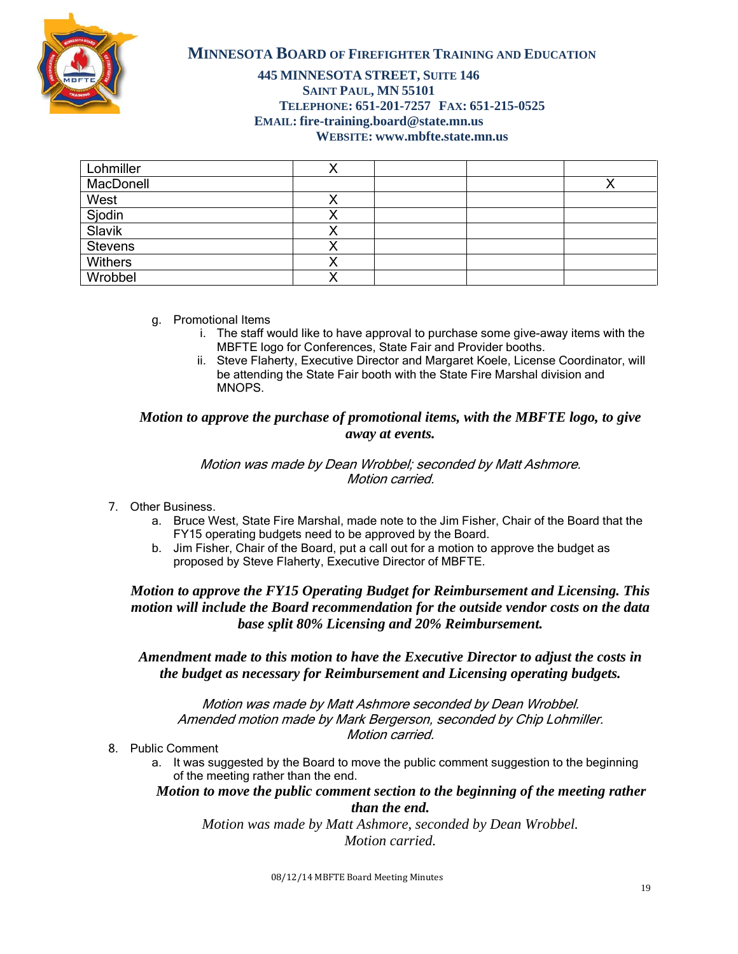

### **445 MINNESOTA STREET, SUITE 146 SAINT PAUL, MN 55101 TELEPHONE: 651-201-7257 FAX: 651-215-0525 EMAIL: fire-training.board@state.mn.us WEBSITE: www.mbfte.state.mn.us**

| Lohmiller        |  |  |
|------------------|--|--|
| MacDonell        |  |  |
| West             |  |  |
| Sjodin<br>Slavik |  |  |
|                  |  |  |
| Stevens          |  |  |
| <b>Withers</b>   |  |  |
| Wrobbel          |  |  |

- g. Promotional Items
	- i. The staff would like to have approval to purchase some give-away items with the MBFTE logo for Conferences, State Fair and Provider booths.
	- ii. Steve Flaherty, Executive Director and Margaret Koele, License Coordinator, will be attending the State Fair booth with the State Fire Marshal division and MNOPS.

### *Motion to approve the purchase of promotional items, with the MBFTE logo, to give away at events.*

#### Motion was made by Dean Wrobbel; seconded by Matt Ashmore. Motion carried.

- 7. Other Business.
	- a. Bruce West, State Fire Marshal, made note to the Jim Fisher, Chair of the Board that the FY15 operating budgets need to be approved by the Board.
	- b. Jim Fisher, Chair of the Board, put a call out for a motion to approve the budget as proposed by Steve Flaherty, Executive Director of MBFTE.

## *Motion to approve the FY15 Operating Budget for Reimbursement and Licensing. This motion will include the Board recommendation for the outside vendor costs on the data base split 80% Licensing and 20% Reimbursement.*

### *Amendment made to this motion to have the Executive Director to adjust the costs in the budget as necessary for Reimbursement and Licensing operating budgets.*

Motion was made by Matt Ashmore seconded by Dean Wrobbel. Amended motion made by Mark Bergerson, seconded by Chip Lohmiller. Motion carried.

- 8. Public Comment
	- a. It was suggested by the Board to move the public comment suggestion to the beginning of the meeting rather than the end.

*Motion to move the public comment section to the beginning of the meeting rather than the end.*

*Motion was made by Matt Ashmore, seconded by Dean Wrobbel. Motion carried.*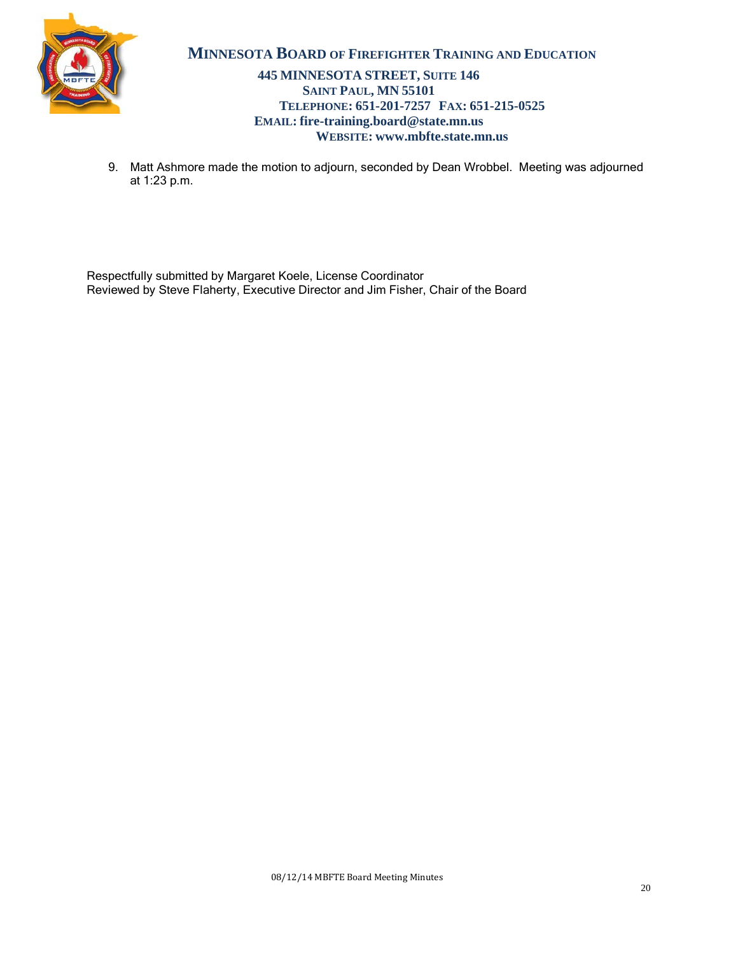

### **445 MINNESOTA STREET, SUITE 146 SAINT PAUL, MN 55101 TELEPHONE: 651-201-7257 FAX: 651-215-0525 EMAIL: fire-training.board@state.mn.us WEBSITE: www.mbfte.state.mn.us**

9. Matt Ashmore made the motion to adjourn, seconded by Dean Wrobbel. Meeting was adjourned at 1:23 p.m.

Respectfully submitted by Margaret Koele, License Coordinator Reviewed by Steve Flaherty, Executive Director and Jim Fisher, Chair of the Board